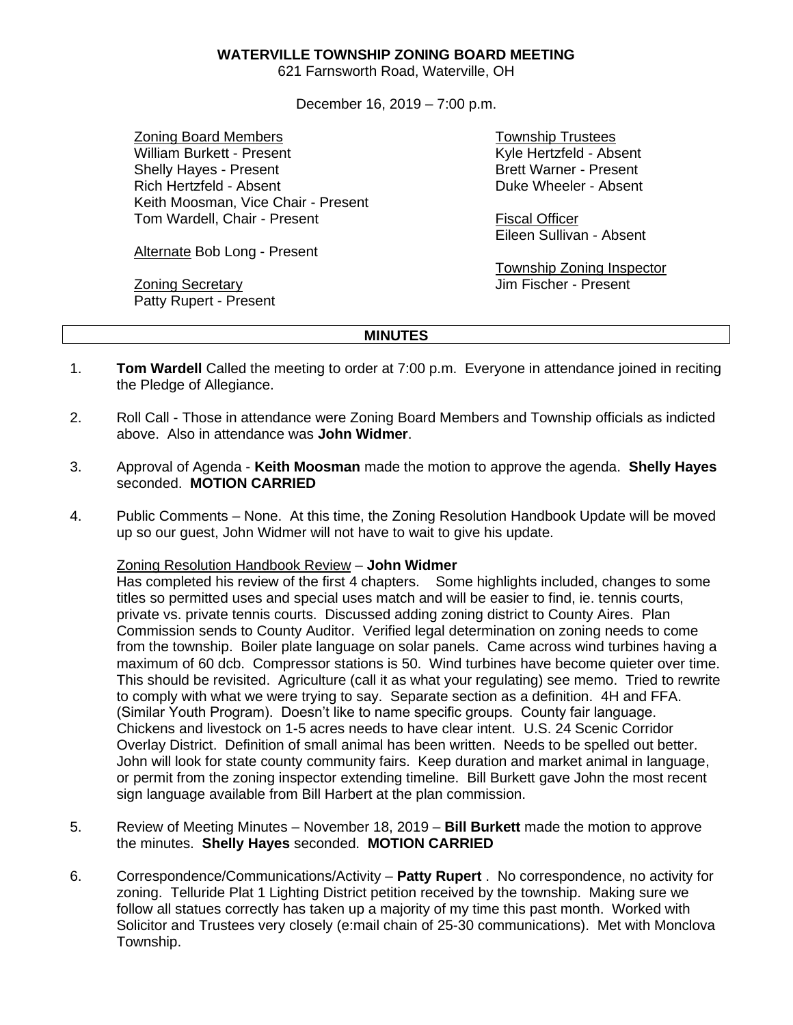## **WATERVILLE TOWNSHIP ZONING BOARD MEETING**

621 Farnsworth Road, Waterville, OH

December 16, 2019 – 7:00 p.m.

Zoning Board Members William Burkett - Present Shelly Hayes - Present Rich Hertzfeld - Absent Keith Moosman, Vice Chair - Present Tom Wardell, Chair - Present

Alternate Bob Long - Present

Zoning Secretary Patty Rupert - Present Township Trustees Kyle Hertzfeld - Absent Brett Warner - Present Duke Wheeler - Absent

Fiscal Officer Eileen Sullivan - Absent

Township Zoning Inspector Jim Fischer - Present

## **MINUTES**

- 1. **Tom Wardell** Called the meeting to order at 7:00 p.m. Everyone in attendance joined in reciting the Pledge of Allegiance.
- 2. Roll Call Those in attendance were Zoning Board Members and Township officials as indicted above. Also in attendance was **John Widmer**.
- 3. Approval of Agenda **Keith Moosman** made the motion to approve the agenda. **Shelly Hayes** seconded. **MOTION CARRIED**
- 4. Public Comments None. At this time, the Zoning Resolution Handbook Update will be moved up so our guest, John Widmer will not have to wait to give his update.

## Zoning Resolution Handbook Review – **John Widmer**

Has completed his review of the first 4 chapters. Some highlights included, changes to some titles so permitted uses and special uses match and will be easier to find, ie. tennis courts, private vs. private tennis courts. Discussed adding zoning district to County Aires. Plan Commission sends to County Auditor. Verified legal determination on zoning needs to come from the township. Boiler plate language on solar panels. Came across wind turbines having a maximum of 60 dcb. Compressor stations is 50. Wind turbines have become quieter over time. This should be revisited. Agriculture (call it as what your regulating) see memo. Tried to rewrite to comply with what we were trying to say. Separate section as a definition. 4H and FFA. (Similar Youth Program). Doesn't like to name specific groups. County fair language. Chickens and livestock on 1-5 acres needs to have clear intent. U.S. 24 Scenic Corridor Overlay District. Definition of small animal has been written. Needs to be spelled out better. John will look for state county community fairs. Keep duration and market animal in language, or permit from the zoning inspector extending timeline. Bill Burkett gave John the most recent sign language available from Bill Harbert at the plan commission.

- 5. Review of Meeting Minutes November 18, 2019 **Bill Burkett** made the motion to approve the minutes. **Shelly Hayes** seconded. **MOTION CARRIED**
- 6. Correspondence/Communications/Activity **Patty Rupert** . No correspondence, no activity for zoning. Telluride Plat 1 Lighting District petition received by the township. Making sure we follow all statues correctly has taken up a majority of my time this past month. Worked with Solicitor and Trustees very closely (e:mail chain of 25-30 communications). Met with Monclova Township.